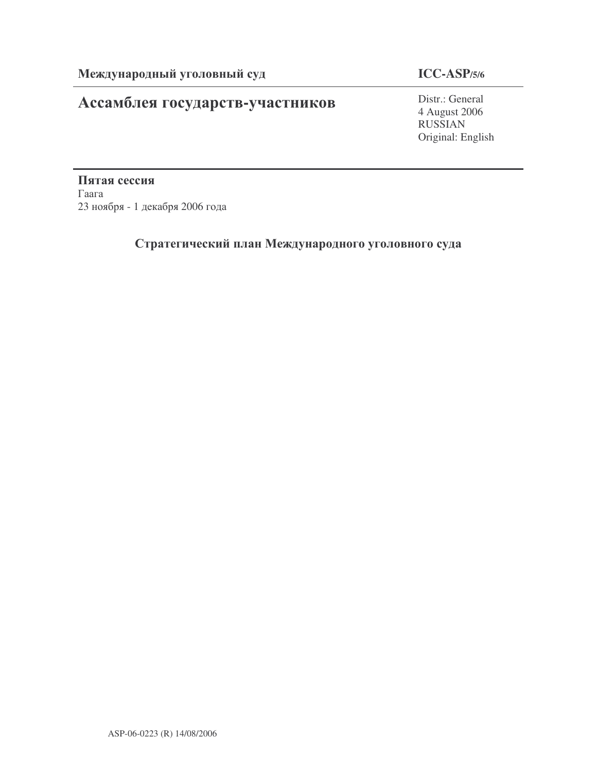# Ассамблея государств-участников

## **ICC-ASP/5/6**

Distr.: General 4 August 2006 RUSSIAN Original: English

Пятая сессия  $\Gamma$ аага 23 ноября - 1 декабря 2006 года

## Стратегический план Международного уголовного суда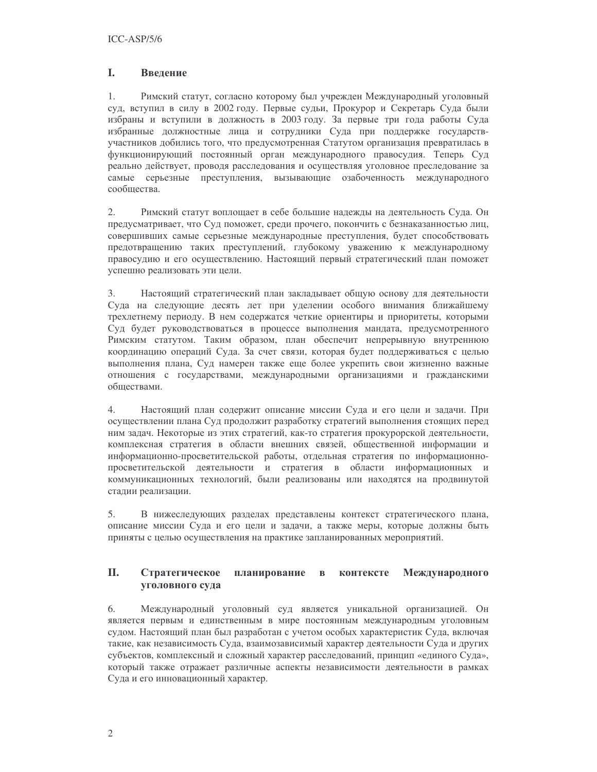#### $\mathbf{L}$ **Ввеление**

 $1$ Римский статут, согласно которому был учрежден Международный уголовный суд, вступил в силу в 2002 году. Первые судьи, Прокурор и Секретарь Суда были избраны и вступили в должность в 2003 году. За первые три года работы Суда избранные должностные лица и сотрудники Суда при поддержке государствучастников добились того, что предусмотренная Статутом организация превратилась в функционирующий постоянный орган международного правосудия. Теперь Суд реально действует, проводя расследования и осуществляя уголовное преследование за самые серьезные преступления, вызывающие озабоченность международного сообщества.

2. Римский статут воплощает в себе большие надежды на деятельность Суда. Он предусматривает, что Суд поможет, среди прочего, покончить с безнаказанностью лиц, совершивших самые серьезные международные преступления, будет способствовать предотвращению таких преступлений, глубокому уважению к международному правосудию и его осуществлению. Настоящий первый стратегический план поможет успешно реализовать эти цели.

Настоящий стратегический план закладывает общую основу для деятельности  $3.$ Суда на следующие десять лет при уделении особого внимания ближайшему трехлетнему периоду. В нем содержатся четкие ориентиры и приоритеты, которыми Суд будет руководствоваться в процессе выполнения мандата, предусмотренного Римским статутом. Таким образом, план обеспечит непрерывную внутреннюю координацию операций Суда. За счет связи, которая будет поддерживаться с целью выполнения плана. Суд намерен также еще более укрепить свои жизненно важные отношения с государствами, международными организациями и гражданскими обшествами.

Настоящий план содержит описание миссии Суда и его цели и задачи. При 4. осуществлении плана Суд продолжит разработку стратегий выполнения стоящих перед ним задач. Некоторые из этих стратегий, как-то стратегия прокурорской деятельности, комплексная стратегия в области внешних связей, общественной информации и информационно-просветительской работы, отдельная стратегия по информационнопросветительской деятельности и стратегия в области информационных и коммуникационных технологий, были реализованы или находятся на продвинутой стадии реализации.

В нижеследующих разделах представлены контекст стратегического плана, 5. описание миссии Суда и его цели и задачи, а также меры, которые должны быть приняты с целью осуществления на практике запланированных мероприятий.

#### II. Стратегическое планирование контексте Международного  $\mathbf{B}$ **УГОЛОВНОГО СУДА**

6. Международный уголовный суд является уникальной организацией. Он является первым и единственным в мире постоянным международным уголовным судом. Настоящий план был разработан с учетом особых характеристик Суда, включая такие, как независимость Суда, взаимозависимый характер деятельности Суда и других субъектов, комплексный и сложный характер расследований, принцип «единого Суда», который также отражает различные аспекты независимости деятельности в рамках Суда и его инновационный характер.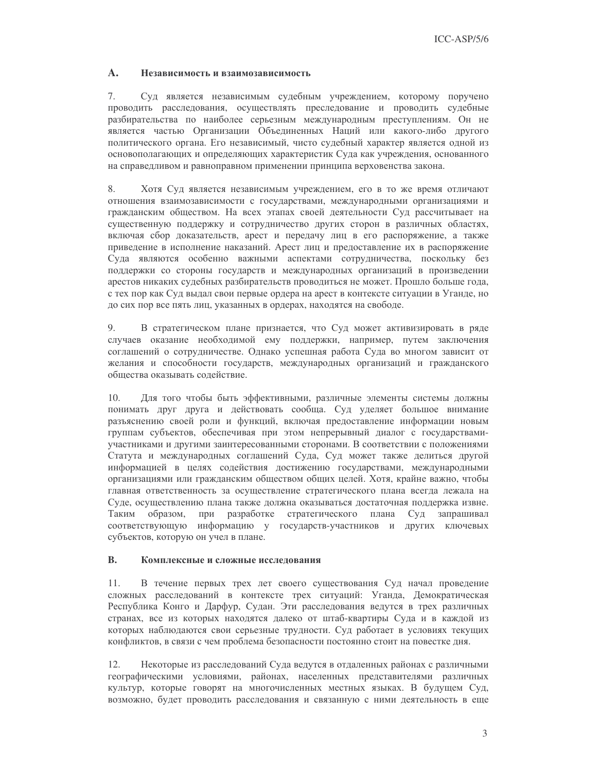#### $\mathbf{A}$ . Независимость и взаимозависимость

7. Суд является независимым судебным учреждением, которому поручено проводить расследования, осуществлять преследование и проводить судебные разбирательства по наиболее серьезным международным преступлениям. Он не является частью Организации Объединенных Наций или какого-либо другого политического органа. Его независимый, чисто судебный характер является одной из основополагающих и определяющих характеристик Суда как учреждения, основанного на справедливом и равноправном применении принципа верховенства закона.

8. Хотя Суд является независимым учреждением, его в то же время отличают отношения взаимозависимости с государствами, международными организациями и гражданским обществом. На всех этапах своей деятельности Суд рассчитывает на существенную поддержку и сотрудничество других сторон в различных областях, включая сбор доказательств, арест и передачу лиц в его распоряжение, а также приведение в исполнение наказаний. Арест лиц и предоставление их в распоряжение Суда являются особенно важными аспектами сотрудничества, поскольку без поддержки со стороны государств и международных организаций в произведении арестов никаких судебных разбирательств проводиться не может. Прошло больше года, с тех пор как Суд выдал свои первые ордера на арест в контексте ситуации в Уганде, но до сих пор все пять лиц, указанных в ордерах, находятся на свободе.

В стратегическом плане признается, что Суд может активизировать в ряде 9. случаев оказание необходимой ему поддержки, например, путем заключения соглашений о сотрудничестве. Однако успешная работа Суда во многом зависит от желания и способности государств, международных организаций и гражданского обшества оказывать солействие.

10. Для того чтобы быть эффективными, различные элементы системы должны понимать друг друга и действовать сообща. Суд уделяет большое внимание разъяснению своей роли и функций, включая предоставление информации новым группам субъектов, обеспечивая при этом непрерывный диалог с государствамиучастниками и другими заинтересованными сторонами. В соответствии с положениями Статута и международных соглашений Суда, Суд может также делиться другой информацией в целях содействия достижению государствами, международными организациями или гражданским обществом общих целей. Хотя, крайне важно, чтобы главная ответственность за осуществление стратегического плана всегда лежала на Суде, осуществлению плана также должна оказываться достаточная поддержка извне. образом, при разработке стратегического плана Суд запрашивал Таким соответствующую информацию у государств-участников и других ключевых субъектов, которую он учел в плане.

#### $\mathbf{B}$ . Комплексные и сложные исследования

 $11.$ В течение первых трех лет своего существования Суд начал проведение сложных расследований в контексте трех ситуаций: Уганда, Демократическая Республика Конго и Дарфур, Судан. Эти расследования ведутся в трех различных странах, все из которых находятся далеко от штаб-квартиры Суда и в каждой из которых наблюдаются свои серьезные трудности. Суд работает в условиях текущих конфликтов, в связи с чем проблема безопасности постоянно стоит на повестке дня.

 $12<sub>1</sub>$ Некоторые из расследований Суда ведутся в отдаленных районах с различными географическими условиями, районах, населенных представителями различных культур, которые говорят на многочисленных местных языках. В будущем Суд, возможно, будет проводить расследования и связанную с ними деятельность в еще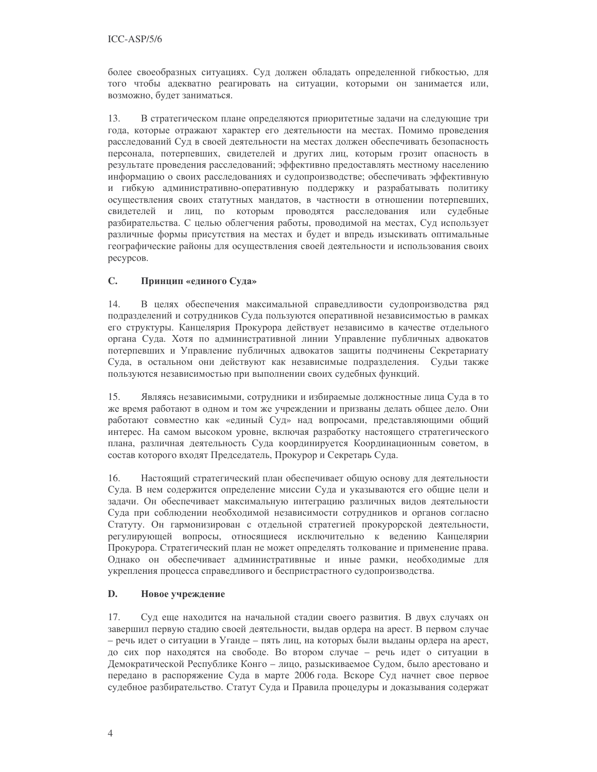более своеобразных ситуациях. Суд должен обладать определенной гибкостью, для того чтобы адекватно реагировать на ситуации, которыми он занимается или, возможно, будет заниматься.

В стратегическом плане определяются приоритетные задачи на следующие три 13. года, которые отражают характер его деятельности на местах. Помимо проведения расследований Суд в своей деятельности на местах должен обеспечивать безопасность персонала, потерпевших, свидетелей и других лиц, которым грозит опасность в результате проведения расследований; эффективно предоставлять местному населению информацию о своих расследованиях и судопроизводстве; обеспечивать эффективную и гибкую административно-оперативную поддержку и разрабатывать политику осуществления своих статутных мандатов, в частности в отношении потерпевших, свидетелей и лиц, по которым проводятся расследования или судебные разбирательства. С целью облегчения работы, проводимой на местах, Суд использует различные формы присутствия на местах и будет и впредь изыскивать оптимальные географические районы для осуществления своей деятельности и использования своих ресурсов.

#### $\mathbf{C}$ . Принцип «единого Суда»

 $14$ В целях обеспечения максимальной справедливости судопроизводства ряд подразделений и сотрудников Суда пользуются оперативной независимостью в рамках его структуры. Канцелярия Прокурора действует независимо в качестве отдельного органа Суда. Хотя по административной линии Управление публичных адвокатов потерпевших и Управление публичных адвокатов защиты подчинены Секретариату Суда, в остальном они действуют как независимые подразделения. Судьи также пользуются независимостью при выполнении своих судебных функций.

 $15.$ Являясь независимыми, сотрудники и избираемые должностные лица Суда в то же время работают в одном и том же учреждении и призваны делать общее дело. Они работают совместно как «единый Суд» над вопросами, представляющими общий интерес. На самом высоком уровне, включая разработку настоящего стратегического плана, различная деятельность Суда координируется Координационным советом, в состав которого входят Председатель, Прокурор и Секретарь Суда.

16. Настоящий стратегический план обеспечивает общую основу для деятельности Суда. В нем содержится определение миссии Суда и указываются его общие цели и задачи. Он обеспечивает максимальную интеграцию различных видов деятельности Суда при соблюдении необходимой независимости сотрудников и органов согласно Статуту. Он гармонизирован с отдельной стратегией прокурорской деятельности, регулирующей вопросы, относящиеся исключительно к ведению Канцелярии Прокурора. Стратегический план не может определять толкование и применение права. Однако он обеспечивает административные и иные рамки, необходимые для укрепления процесса справедливого и беспристрастного судопроизводства.

#### D. Новое учреждение

17. Суд еще находится на начальной стадии своего развития. В двух случаях он завершил первую стадию своей деятельности, выдав ордера на арест. В первом случае – речь идет о ситуации в Уганде – пять лиц, на которых были выданы ордера на арест, до сих пор находятся на свободе. Во втором случае - речь идет о ситуации в Демократической Республике Конго - лицо, разыскиваемое Судом, было арестовано и передано в распоряжение Суда в марте 2006 года. Вскоре Суд начнет свое первое судебное разбирательство. Статут Суда и Правила процедуры и доказывания содержат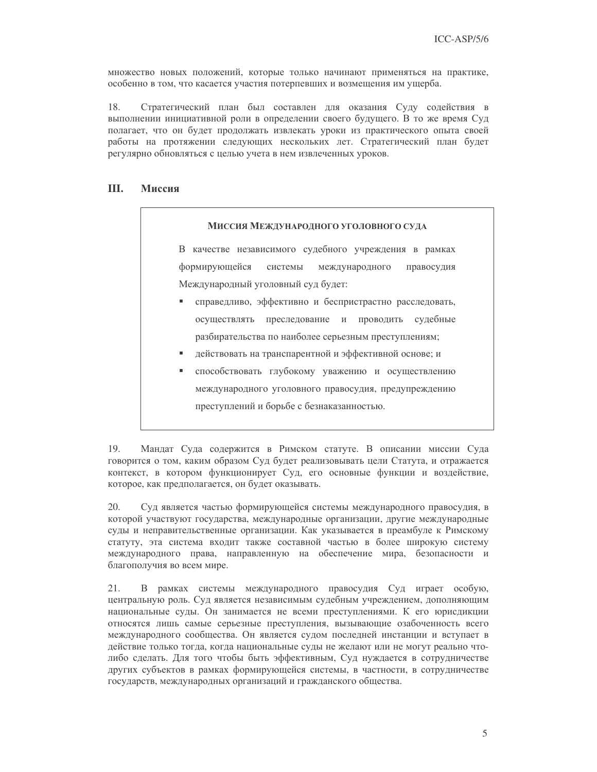множество новых положений, которые только начинают применяться на практике, особенно в том, что касается участия потерпевших и возмещения им ущерба.

18. Стратегический план был составлен для оказания Суду содействия в выполнении инициативной роли в определении своего будущего. В то же время Суд полагает, что он будет продолжать извлекать уроки из практического опыта своей работы на протяжении следующих нескольких лет. Стратегический план будет регулярно обновляться с целью учета в нем извлеченных уроков.

#### III. Миссия

### Миссия Международного уголовного суда

В качестве независимого судебного учреждения в рамках формирующейся системы международного правосудия Международный уголовный суд будет:

- справедливо, эффективно и беспристрастно расследовать, осуществлять преследование и проводить судебные разбирательства по наиболее серьезным преступлениям;
- действовать на транспарентной и эффективной основе; и
- способствовать глубокому уважению и осуществлению международного уголовного правосудия, предупреждению преступлений и борьбе с безнаказанностью.

19. Мандат Суда содержится в Римском статуте. В описании миссии Суда говорится о том, каким образом Суд будет реализовывать цели Статута, и отражается контекст, в котором функционирует Суд, его основные функции и воздействие, которое, как предполагается, он будет оказывать.

20. Суд является частью формирующейся системы международного правосудия, в которой участвуют государства, международные организации, другие международные суды и неправительственные организации. Как указывается в преамбуле к Римскому статуту, эта система входит также составной частью в более широкую систему международного права, направленную на обеспечение мира, безопасности и благополучия во всем мире.

21. В рамках системы международного правосудия Суд играет особую, центральную роль. Суд является независимым судебным учреждением, дополняющим национальные суды. Он занимается не всеми преступлениями. К его юрисдикции относятся лишь самые серьезные преступления, вызывающие озабоченность всего международного сообщества. Он является судом последней инстанции и вступает в действие только тогда, когда национальные суды не желают или не могут реально чтолибо сделать. Для того чтобы быть эффективным, Суд нуждается в сотрудничестве других субъектов в рамках формирующейся системы, в частности, в сотрудничестве государств, международных организаций и гражданского общества.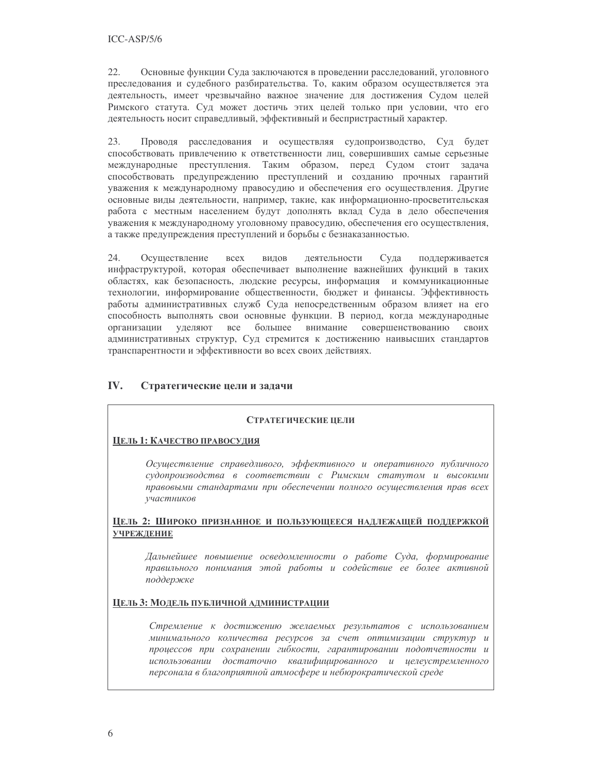$22.$ Основные функции Суда заключаются в проведении расследований, уголовного преследования и судебного разбирательства. То, каким образом осуществляется эта деятельность, имеет чрезвычайно важное значение для достижения Судом целей Римского статута. Суд может достичь этих целей только при условии, что его деятельность носит справедливый, эффективный и беспристрастный характер.

23. Проводя расследования и осуществляя судопроизводство, Суд будет способствовать привлечению к ответственности лиц, совершивших самые серьезные международные преступления. Таким образом, перед Судом стоит задача способствовать предупреждению преступлений и созданию прочных гарантий уважения к международному правосудию и обеспечения его осуществления. Другие основные виды деятельности, например, такие, как информационно-просветительская работа с местным населением будут дополнять вклад Суда в дело обеспечения уважения к международному уголовному правосудию, обеспечения его осуществления, а также предупреждения преступлений и борьбы с безнаказанностью.

24. Осуществление **BCCX** видов деятельности Суда поддерживается инфраструктурой, которая обеспечивает выполнение важнейших функций в таких областях, как безопасность, людские ресурсы, информация и коммуникационные технологии, информирование общественности, бюджет и финансы. Эффективность работы административных служб Суда непосредственным образом влияет на его способность выполнять свои основные функции. В период, когда международные уделяют все организации большее внимание совершенствованию своих административных структур, Суд стремится к достижению наивысших стандартов транспарентности и эффективности во всех своих действиях.

#### IV. Стратегические цели и задачи

### СТРАТЕГИЧЕСКИЕ ПЕЛИ

### ЦЕЛЬ 1: КАЧЕСТВО ПРАВОСУДИЯ

Осуществление справедливого, эффективного и оперативного публичного судопроизводства в соответствии с Римским статутом и высокими правовыми стандартами при обеспечении полного осуществления прав всех участников

ЦЕЛЬ 2: ШИРОКО ПРИЗНАННОЕ И ПОЛЬЗУЮЩЕЕСЯ НАДЛЕЖАЩЕЙ ПОДДЕРЖКОЙ **УЧРЕЖДЕНИЕ** 

Дальнейшее повышение осведомленности о работе Суда, формирование правильного понимания этой работы и содействие ее более активной поддержке

### ЦЕЛЬ 3: МОДЕЛЬ ПУБЛИЧНОЙ АДМИНИСТРАЦИИ

Стремление к достижению желаемых результатов с использованием минимального количества ресурсов за счет оптимизации структур и процессов при сохранении гибкости, гарантировании подотчетности и использовании достаточно квалифицированного и целеустремленного персонала в благоприятной атмосфере и небюрократической среде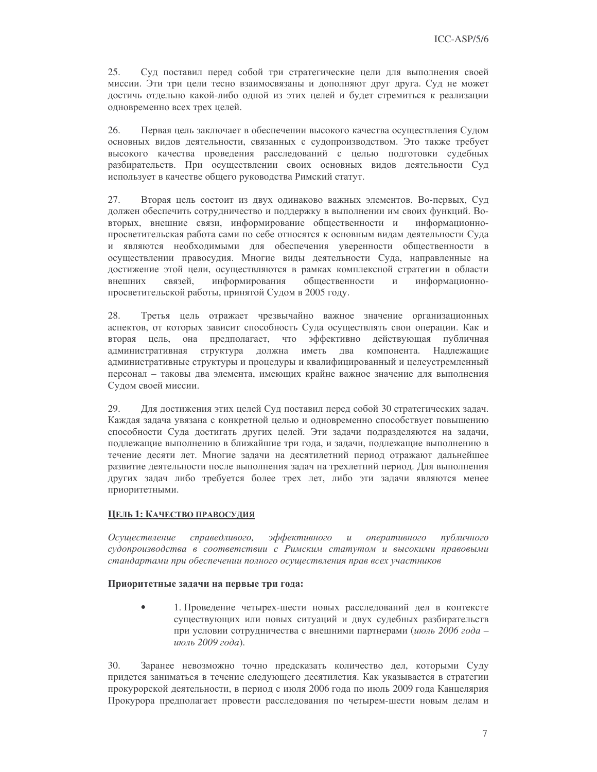25. Суд поставил перед собой три стратегические цели для выполнения своей миссии. Эти три цели тесно взаимосвязаны и дополняют друг друга. Суд не может достичь отдельно какой-либо одной из этих целей и будет стремиться к реализации одновременно всех трех целей.

26. Первая цель заключает в обеспечении высокого качества осуществления Судом основных видов деятельности, связанных с судопроизводством. Это также требует высокого качества проведения расследований с целью подготовки судебных разбирательств. При осуществлении своих основных видов деятельности Суд использует в качестве общего руководства Римский статут.

27. Вторая цель состоит из двух одинаково важных элементов. Во-первых, Суд должен обеспечить сотрудничество и поддержку в выполнении им своих функций. Вовторых, внешние связи, информирование общественности и информационнопросветительская работа сами по себе относятся к основным видам деятельности Суда и являются необходимыми для обеспечения уверенности общественности в осуществлении правосудия. Многие виды деятельности Суда, направленные на достижение этой цели, осуществляются в рамках комплексной стратегии в области внешних связей. информирования общественности  $\,$  M информационнопросветительской работы, принятой Судом в 2005 году.

28. Третья цель отражает чрезвычайно важное значение организационных аспектов, от которых зависит способность Суда осуществлять свои операции. Как и вторая цель, она предполагает, что эффективно действующая публичная административная структура должна иметь два компонента. Надлежащие административные структуры и процедуры и квалифицированный и целеустремленный персонал - таковы два элемента, имеющих крайне важное значение для выполнения Судом своей миссии.

29. Для достижения этих целей Суд поставил перед собой 30 стратегических задач. Каждая задача увязана с конкретной целью и одновременно способствует повышению способности Суда достигать других целей. Эти задачи подразделяются на задачи, подлежащие выполнению в ближайшие три года, и задачи, подлежащие выполнению в течение десяти лет. Многие задачи на десятилетний период отражают дальнейшее развитие деятельности после выполнения задач на трехлетний период. Для выполнения других задач либо требуется более трех лет, либо эти задачи являются менее приоритетными.

### ЦЕЛЬ 1: КАЧЕСТВО ПРАВОСУДИЯ

эффективного Осушествление справедливого,  $\mathcal{U}$ оперативного публичного судопроизводства в соответствии с Римским статутом и высокими правовыми стандартами при обеспечении полного осуществления прав всех участников

### Приоритетные задачи на первые три года:

1. Проведение четырех-шести новых расследований дел в контексте существующих или новых ситуаций и двух судебных разбирательств при условии сотрудничества с внешними партнерами (июль 2006 года июль 2009 года).

30. Заранее невозможно точно предсказать количество дел, которыми Суду придется заниматься в течение следующего десятилетия. Как указывается в стратегии прокурорской деятельности, в период с июля 2006 года по июль 2009 года Канцелярия Прокурора предполагает провести расследования по четырем-шести новым делам и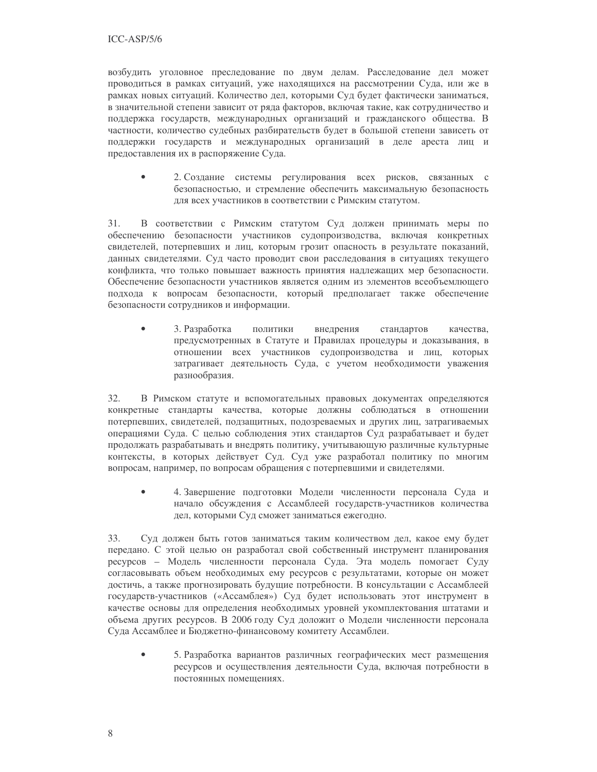возбудить уголовное преследование по двум делам. Расследование дел может проводиться в рамках ситуаций, уже находящихся на рассмотрении Суда, или же в рамках новых ситуаций. Количество дел, которыми Суд будет фактически заниматься, в значительной степени зависит от ряда факторов, включая такие, как сотрудничество и поддержка государств, международных организаций и гражданского общества. В частности, количество судебных разбирательств будет в большой степени зависеть от поддержки государств и международных организаций в деле ареста лиц и предоставления их в распоряжение Суда.

2. Создание системы регулирования всех рисков, связанных с безопасностью, и стремление обеспечить максимальную безопасность для всех участников в соответствии с Римским статутом.

 $31.$ В соответствии с Римским статутом Суд должен принимать меры по обеспечению безопасности участников судопроизводства, включая конкретных свидетелей, потерпевших и лиц, которым грозит опасность в результате показаний, данных свидетелями. Суд часто проводит свои расследования в ситуациях текущего конфликта, что только повышает важность принятия наллежащих мер безопасности. Обеспечение безопасности участников является одним из элементов всеобъемлющего подхода к вопросам безопасности, который предполагает также обеспечение безопасности сотрудников и информации.

3. Разработка внедрения политики стандартов качества. предусмотренных в Статуте и Правилах процедуры и доказывания, в отношении всех участников судопроизводства и лиц, которых затрагивает деятельность Суда, с учетом необходимости уважения разнообразия.

32. В Римском статуте и вспомогательных правовых документах определяются конкретные стандарты качества, которые должны соблюдаться в отношении потерпевших, свидетелей, подзащитных, подозреваемых и других лиц, затрагиваемых операциями Суда. С целью соблюдения этих стандартов Суд разрабатывает и будет продолжать разрабатывать и внедрять политику, учитывающую различные культурные контексты, в которых действует Суд. Суд уже разработал политику по многим вопросам, например, по вопросам обращения с потерпевшими и свидетелями.

4. Завершение подготовки Модели численности персонала Суда и начало обсуждения с Ассамблеей государств-участников количества дел, которыми Суд сможет заниматься ежегодно.

33. Суд должен быть готов заниматься таким количеством дел, какое ему будет передано. С этой целью он разработал свой собственный инструмент планирования ресурсов - Модель численности персонала Суда. Эта модель помогает Суду согласовывать объем необходимых ему ресурсов с результатами, которые он может достичь, а также прогнозировать будущие потребности. В консультации с Ассамблеей государств-участников («Ассамблея») Суд будет использовать этот инструмент в качестве основы для определения необходимых уровней укомплектования штатами и объема других ресурсов. В 2006 году Суд доложит о Модели численности персонала Суда Ассамблее и Бюджетно-финансовому комитету Ассамблеи.

5. Разработка вариантов различных географических мест размещения ресурсов и осуществления деятельности Суда, включая потребности в постоянных помешениях.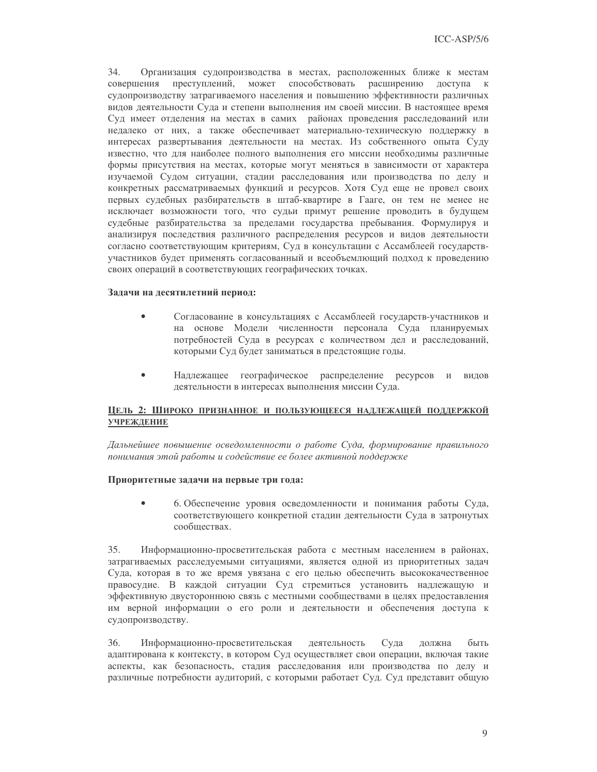$34.$ Организация судопроизводства в местах, расположенных ближе к местам преступлений, может способствовать расширению совершения доступа к судопроизводству затрагиваемого населения и повышению эффективности различных видов деятельности Суда и степени выполнения им своей миссии. В настоящее время Суд имеет отделения на местах в самих районах проведения расследований или недалеко от них, а также обеспечивает материально-техническую поддержку в интересах развертывания деятельности на местах. Из собственного опыта Суду известно, что для наиболее полного выполнения его миссии необходимы различные формы присутствия на местах, которые могут меняться в зависимости от характера изучаемой Судом ситуации, стадии расследования или производства по делу и конкретных рассматриваемых функций и ресурсов. Хотя Суд еще не провел своих первых судебных разбирательств в штаб-квартире в Гааге, он тем не менее не исключает возможности того, что судьи примут решение проводить в будущем судебные разбирательства за пределами государства пребывания. Формулируя и анализируя последствия различного распределения ресурсов и видов деятельности согласно соответствующим критериям, Суд в консультации с Ассамблеей государствучастников будет применять согласованный и всеобъемлющий подход к проведению своих операций в соответствующих географических точках.

### Задачи на десятилетний период:

- $\bullet$ Согласование в консультациях с Ассамблеей государств-участников и на основе Модели численности персонала Суда планируемых потребностей Суда в ресурсах с количеством дел и расследований, которыми Суд будет заниматься в предстоящие годы.
- $\bullet$ Надлежащее географическое распределение ресурсов и видов деятельности в интересах выполнения миссии Суда.

### ЦЕЛЬ 2: ШИРОКО ПРИЗНАННОЕ И ПОЛЬЗУЮЩЕЕСЯ НАДЛЕЖАЩЕЙ ПОДДЕРЖКОЙ **УЧРЕЖЛЕНИЕ**

Дальнейшее повышение осведомленности о работе Суда, формирование правильного понимания этой работы и содействие ее более активной поддержке

### Приоритетные задачи на первые три года:

 $\bullet$ 6. Обеспечение уровня осведомленности и понимания работы Суда, соответствующего конкретной стадии деятельности Суда в затронутых сообществах.

35. Информационно-просветительская работа с местным населением в районах, затрагиваемых расследуемыми ситуациями, является одной из приоритетных задач Суда, которая в то же время увязана с его целью обеспечить высококачественное правосудие. В каждой ситуации Суд стремиться установить надлежащую и эффективную двустороннюю связь с местными сообществами в целях предоставления им верной информации о его роли и деятельности и обеспечения доступа к судопроизводству.

36. Информационно-просветительская деятельность Суда должна быть адаптирована к контексту, в котором Суд осуществляет свои операции, включая такие аспекты, как безопасность, стадия расследования или производства по делу и различные потребности аудиторий, с которыми работает Суд. Суд представит общую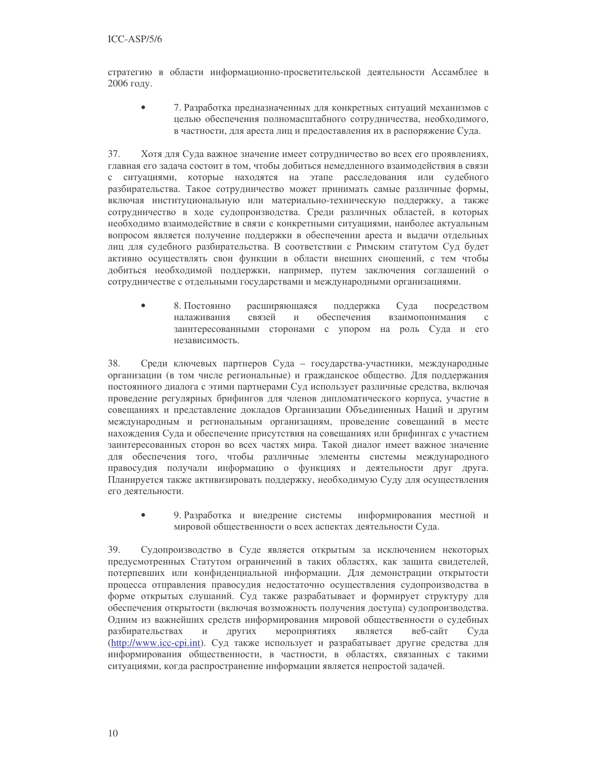стратегию в области информационно-просветительской деятельности Ассамблее в 2006 году.

 $\bullet$ 7. Разработка предназначенных для конкретных ситуаций механизмов с целью обеспечения полномасштабного сотрудничества, необходимого, в частности, для ареста лиц и предоставления их в распоряжение Суда.

37. Хотя для Суда важное значение имеет сотрудничество во всех его проявлениях, главная его задача состоит в том, чтобы добиться немедленного взаимодействия в связи с ситуациями, которые находятся на этапе расследования или судебного разбирательства. Такое сотрудничество может принимать самые различные формы, включая институциональную или материально-техническую поддержку, а также сотрудничество в ходе судопроизводства. Среди различных областей, в которых необходимо взаимодействие в связи с конкретными ситуациями, наиболее актуальным вопросом является получение поддержки в обеспечении ареста и выдачи отдельных лиц для судебного разбирательства. В соответствии с Римским статутом Суд будет активно осуществлять свои функции в области внешних сношений, с тем чтобы добиться необходимой поддержки, например, путем заключения соглашений о сотрудничестве с отдельными государствами и международными организациями.

8. Постоянно расширяющаяся поддержка Суда посредством налаживания связей  $\overline{M}$ обеспечения взаимопонимания  $\mathcal{C}$ заинтересованными сторонами с упором на роль Суда и его независимость.

38. Среди ключевых партнеров Суда - государства-участники, международные организации (в том числе региональные) и гражданское общество. Для поддержания постоянного диалога с этими партнерами Суд использует различные средства, включая проведение регулярных брифингов для членов дипломатического корпуса, участие в совещаниях и представление докладов Организации Объединенных Наций и другим международным и региональным организациям, проведение совещаний в месте нахождения Суда и обеспечение присутствия на совещаниях или брифингах с участием заинтересованных сторон во всех частях мира. Такой диалог имеет важное значение для обеспечения того, чтобы различные элементы системы международного правосудия получали информацию о функциях и деятельности друг друга. Планируется также активизировать поддержку, необходимую Суду для осуществления его леятельности.

9. Разработка и внедрение системы информирования местной и мировой общественности о всех аспектах деятельности Суда.

39. Судопроизводство в Суде является открытым за исключением некоторых предусмотренных Статутом ограничений в таких областях, как защита свидетелей, потерпевших или конфиденциальной информации. Для демонстрации открытости процесса отправления правосудия недостаточно осуществления судопроизводства в форме открытых слушаний. Суд также разрабатывает и формирует структуру для обеспечения открытости (включая возможность получения доступа) судопроизводства. Одним из важнейших средств информирования мировой общественности о судебных разбирательствах  $\mathbf{M}$ других мероприятиях является веб-сайт Суда (http://www.icc-cpi.int). Суд также использует и разрабатывает другие средства для информирования общественности, в частности, в областях, связанных с такими ситуациями, когда распространение информации является непростой задачей.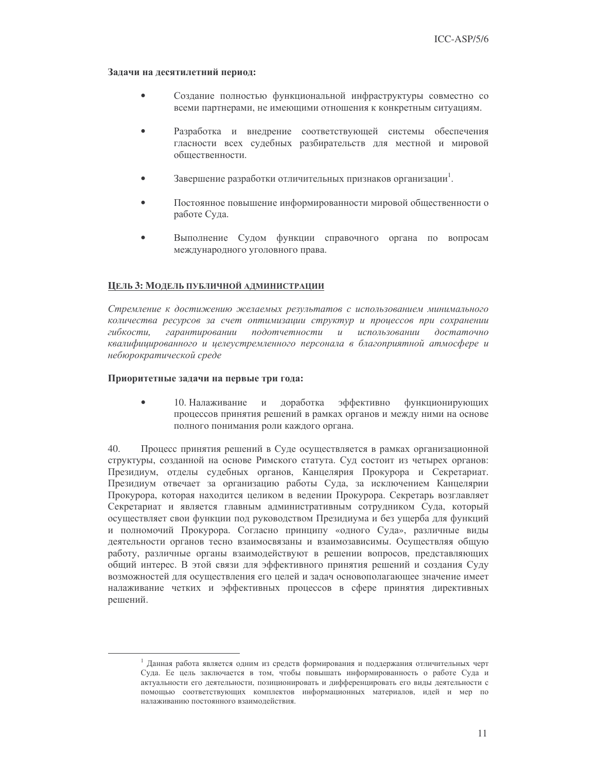### Задачи на десятилетний период:

- Создание полностью функциональной инфраструктуры совместно со всеми партнерами, не имеющими отношения к конкретным ситуациям.
- Разработка и внелрение соответствующей системы обеспечения гласности всех судебных разбирательств для местной и мировой обшественности.
- Завершение разработки отличительных признаков организации.
- Постоянное повышение информированности мировой общественности о работе Суда.
- Выполнение Судом функции справочного органа по вопросам международного уголовного права.

### ЦЕЛЬ 3: МОДЕЛЬ ПУБЛИЧНОЙ АДМИНИСТРАЦИИ

Стремление к достижению желаемых результатов с использованием минимального количества ресурсов за счет оптимизации структур и процессов при сохранении гибкости, гарантировании подотчетности и использовании достаточно квалифицированного и целеустремленного персонала в благоприятной атмосфере и небюрократической среде

### Приоритетные задачи на первые три года:

доработка эффективно  $\bullet$ 10. Налаживание функционирующих процессов принятия решений в рамках органов и между ними на основе полного понимания роли каждого органа.

 $40<sub>1</sub>$ Процесс принятия решений в Суде осуществляется в рамках организационной структуры, созданной на основе Римского статута. Суд состоит из четырех органов: Президиум, отделы судебных органов, Канцелярия Прокурора и Секретариат. Президиум отвечает за организацию работы Суда, за исключением Канцелярии Прокурора, которая находится целиком в ведении Прокурора. Секретарь возглавляет Секретариат и является главным административным сотрудником Суда, который осуществляет свои функции под руководством Президиума и без ущерба для функций и полномочий Прокурора. Согласно принципу «одного Суда», различные виды деятельности органов тесно взаимосвязаны и взаимозависимы. Осуществляя общую работу, различные органы взаимодействуют в решении вопросов, представляющих общий интерес. В этой связи для эффективного принятия решений и создания Суду возможностей для осушествления его целей и задач основополагающее значение имеет налаживание четких и эффективных процессов в сфере принятия директивных решений.

<sup>&</sup>lt;sup>1</sup> Данная работа является одним из средств формирования и поддержания отличительных черт Суда. Ее цель заключается в том, чтобы повышать информированность о работе Суда и актуальности его деятельности, позиционировать и дифференцировать его виды деятельности с помощью соответствующих комплектов информационных материалов, идей и мер по налаживанию постоянного взаимодействия.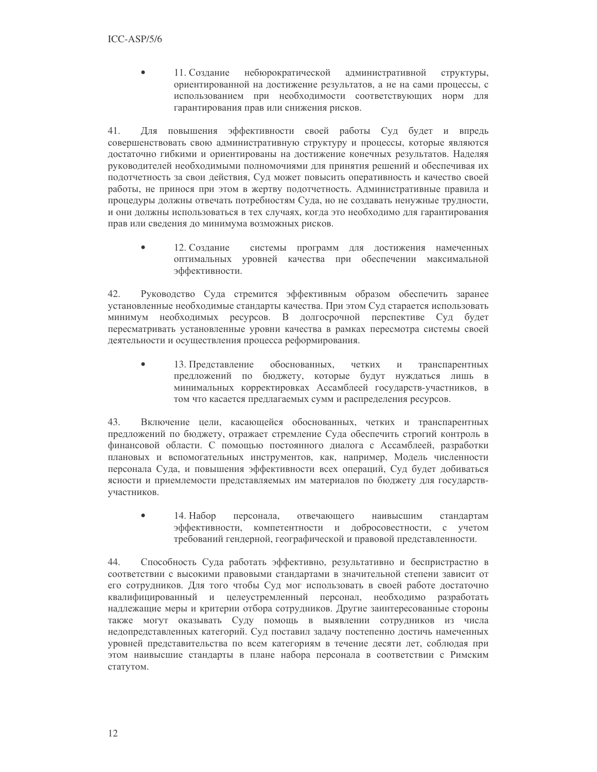11. Созлание небюрократической административной  $\bullet$ структуры, ориентированной на достижение результатов, а не на сами процессы, с использованием при необходимости соответствующих норм для гарантирования прав или снижения рисков.

41. Для повышения эффективности своей работы Суд будет и впредь совершенствовать свою административную структуру и процессы, которые являются достаточно гибкими и ориентированы на достижение конечных результатов. Наделяя руководителей необходимыми полномочиями для принятия решений и обеспечивая их подотчетность за свои действия, Суд может повысить оперативность и качество своей работы, не принося при этом в жертву подотчетность. Административные правила и процедуры должны отвечать потребностям Суда, но не создавать ненужные трудности, и они должны использоваться в тех случаях, когда это необходимо для гарантирования прав или сведения до минимума возможных рисков.

12. Создание системы программ для достижения намеченных оптимальных уровней качества при обеспечении максимальной эффективности.

Руководство Суда стремится эффективным образом обеспечить заранее 42. установленные необходимые стандарты качества. При этом Суд старается использовать минимум необходимых ресурсов. В долгосрочной перспективе Суд будет пересматривать установленные уровни качества в рамках пересмотра системы своей деятельности и осуществления процесса реформирования.

13. Представление обоснованных, четких  $\,$   $\,$   $\,$   $\,$ транспарентных предложений по бюджету, которые будут нуждаться лишь в минимальных корректировках Ассамблеей государств-участников, в том что касается предлагаемых сумм и распределения ресурсов.

Включение цели, касающейся обоснованных, четких и транспарентных 43. предложений по бюджету, отражает стремление Суда обеспечить строгий контроль в финансовой области. С помощью постоянного диалога с Ассамблеей, разработки плановых и вспомогательных инструментов, как, например, Модель численности персонала Суда, и повышения эффективности всех операций, Суд будет добиваться ясности и приемлемости представляемых им материалов по бюджету для государствучастников.

14. Набор персонала, отвечающего наивысшим стандартам  $\bullet$ эффективности, компетентности и добросовестности, с учетом требований гендерной, географической и правовой представленности.

44. Способность Суда работать эффективно, результативно и беспристрастно в соответствии с высокими правовыми стандартами в значительной степени зависит от его сотрудников. Для того чтобы Суд мог использовать в своей работе достаточно квалифицированный и целеустремленный персонал, необходимо разработать надлежащие меры и критерии отбора сотрудников. Другие заинтересованные стороны также могут оказывать Суду помощь в выявлении сотрудников из числа недопредставленных категорий. Суд поставил задачу постепенно достичь намеченных уровней представительства по всем категориям в течение десяти лет, соблюдая при этом наивысшие стандарты в плане набора персонала в соответствии с Римским статутом.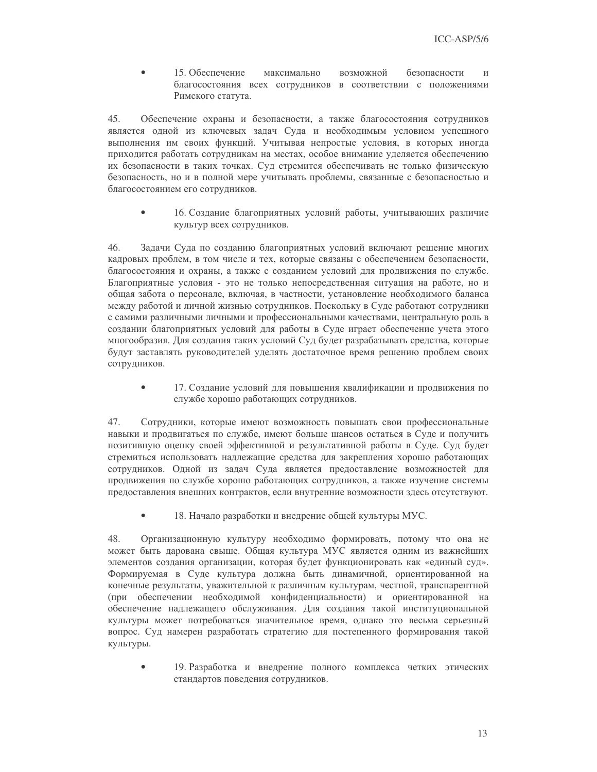15. Обеспечение максимально возможной безопасности  $\bullet$  $\overline{M}$ благосостояния всех сотрудников в соответствии с положениями Римского статута.

45. Обеспечение охраны и безопасности, а также благосостояния сотрудников является одной из ключевых задач Суда и необходимым условием успешного выполнения им своих функций. Учитывая непростые условия, в которых иногда приходится работать сотрудникам на местах, особое внимание уделяется обеспечению их безопасности в таких точках. Суд стремится обеспечивать не только физическую безопасность, но и в полной мере учитывать проблемы, связанные с безопасностью и благосостоянием его сотрудников.

 $\bullet$ 16. Создание благоприятных условий работы, учитывающих различие культур всех сотрудников.

46. Задачи Суда по созданию благоприятных условий включают решение многих кадровых проблем, в том числе и тех, которые связаны с обеспечением безопасности, благосостояния и охраны, а также с созданием условий для продвижения по службе. Благоприятные условия - это не только непосредственная ситуация на работе, но и общая забота о персонале, включая, в частности, установление необходимого баланса между работой и личной жизнью сотрудников. Поскольку в Суде работают сотрудники с самими различными личными и профессиональными качествами, центральную роль в создании благоприятных условий для работы в Суде играет обеспечение учета этого многообразия. Для создания таких условий Суд будет разрабатывать средства, которые будут заставлять руководителей уделять достаточное время решению проблем своих сотрудников.

 $\bullet$ 17. Создание условий для повышения квалификации и продвижения по службе хорошо работающих сотрудников.

47. Сотрудники, которые имеют возможность повышать свои профессиональные навыки и продвигаться по службе, имеют больше шансов остаться в Суде и получить позитивную оценку своей эффективной и результативной работы в Суде. Суд будет стремиться использовать надлежащие средства для закрепления хорошо работающих сотрудников. Одной из задач Суда является предоставление возможностей для продвижения по службе хорошо работающих сотрудников, а также изучение системы предоставления внешних контрактов, если внутренние возможности здесь отсутствуют.

 $\bullet$ 18. Начало разработки и внедрение общей культуры МУС.

48. Организационную культуру необходимо формировать, потому что она не может быть дарована свыше. Общая культура МУС является одним из важнейших элементов создания организации, которая будет функционировать как «единый суд». Формируемая в Суде культура должна быть динамичной, ориентированной на конечные результаты, уважительной к различным культурам, честной, транспарентной (при обеспечении необходимой конфиденциальности) и ориентированной на обеспечение надлежащего обслуживания. Для создания такой институциональной культуры может потребоваться значительное время, однако это весьма серьезный вопрос. Суд намерен разработать стратегию для постепенного формирования такой культуры.

19. Разработка и внедрение полного комплекса четких этических стандартов поведения сотрудников.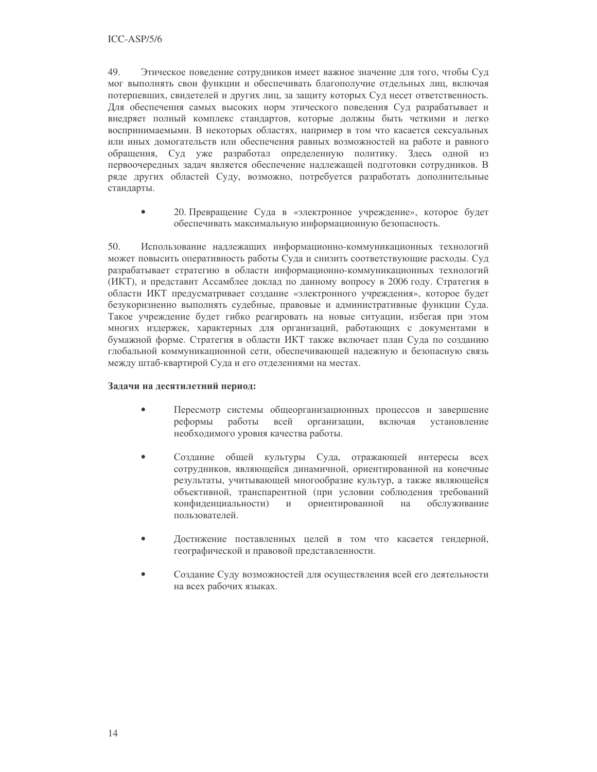49. Этическое поведение сотрудников имеет важное значение для того, чтобы Суд мог выполнять свои функции и обеспечивать благополучие отдельных лиц, включая потерпевших, свидетелей и других лиц, за защиту которых Суд несет ответственность. Для обеспечения самых высоких норм этического поведения Суд разрабатывает и внедряет полный комплекс стандартов, которые должны быть четкими и легко воспринимаемыми. В некоторых областях, например в том что касается сексуальных или иных домогательств или обеспечения равных возможностей на работе и равного обращения, Суд уже разработал определенную политику. Здесь одной из первоочередных задач является обеспечение надлежащей подготовки сотрудников. В ряде других областей Суду, возможно, потребуется разработать дополнительные стандарты.

20. Превращение Суда в «электронное учреждение», которое будет  $\bullet$ обеспечивать максимальную информационную безопасность.

50. Использование надлежащих информационно-коммуникационных технологий может повысить оперативность работы Суда и снизить соответствующие расходы. Суд разрабатывает стратегию в области информационно-коммуникационных технологий (ИКТ), и представит Ассамблее доклад по данному вопросу в 2006 году. Стратегия в области ИКТ предусматривает создание «электронного учреждения», которое будет безукоризненно выполнять судебные, правовые и административные функции Суда. Такое учреждение будет гибко реагировать на новые ситуации, избегая при этом многих издержек, характерных для организаций, работающих с документами в бумажной форме. Стратегия в области ИКТ также включает план Суда по созданию глобальной коммуникационной сети, обеспечивающей надежную и безопасную связь между штаб-квартирой Суда и его отделениями на местах.

### Задачи на десятилетний период:

- $\bullet$ Пересмотр системы общеорганизационных процессов и завершение работы включая реформы всей организации, установление необходимого уровня качества работы.
- Создание общей культуры Суда, отражающей интересы всех  $\bullet$ сотрудников, являющейся динамичной, ориентированной на конечные результаты, учитывающей многообразие культур, а также являющейся объективной, транспарентной (при условии соблюдения требований ориентированной конфиденциальности)  $\,$   $\,$   $\,$   $\,$ на обслуживание пользователей.
- Достижение поставленных целей в том что касается гендерной, географической и правовой представленности.
- Создание Суду возможностей для осуществления всей его деятельности на всех рабочих языках.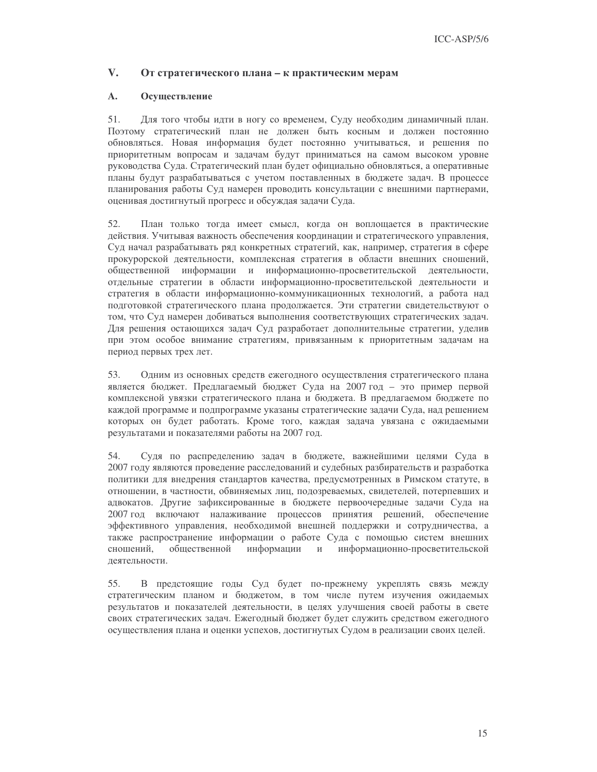#### $V_{\cdot}$ От стратегического плана - к практическим мерам

#### $\mathbf{A}$ . Осуществление

51. Для того чтобы идти в ногу со временем, Суду необходим динамичный план. Поэтому стратегический план не должен быть косным и должен постоянно обновляться. Новая информация будет постоянно учитываться, и решения по приоритетным вопросам и задачам будут приниматься на самом высоком уровне руководства Суда. Стратегический план будет официально обновляться, а оперативные планы будут разрабатываться с учетом поставленных в бюджете задач. В процессе планирования работы Суд намерен проводить консультации с внешними партнерами, оценивая достигнутый прогресс и обсуждая задачи Суда.

План только тогда имеет смысл, когда он воплощается в практические 52. действия. Учитывая важность обеспечения координации и стратегического управления, Суд начал разрабатывать ряд конкретных стратегий, как, например, стратегия в сфере прокурорской деятельности, комплексная стратегия в области внешних сношений, общественной информации и информационно-просветительской деятельности, отдельные стратегии в области информационно-просветительской деятельности и стратегия в области информационно-коммуникационных технологий, а работа над подготовкой стратегического плана продолжается. Эти стратегии свидетельствуют о том, что Суд намерен добиваться выполнения соответствующих стратегических задач. Для решения остающихся задач Суд разработает дополнительные стратегии, уделив при этом особое внимание стратегиям, привязанным к приоритетным задачам на период первых трех лет.

53. Одним из основных средств ежегодного осуществления стратегического плана является бюджет. Предлагаемый бюджет Суда на 2007 год - это пример первой комплексной увязки стратегического плана и бюджета. В предлагаемом бюджете по каждой программе и подпрограмме указаны стратегические задачи Суда, над решением которых он будет работать. Кроме того, каждая задача увязана с ожидаемыми результатами и показателями работы на 2007 год.

54. Судя по распределению задач в бюджете, важнейшими целями Суда в 2007 году являются проведение расследований и судебных разбирательств и разработка политики для внедрения стандартов качества, предусмотренных в Римском статуте, в отношении, в частности, обвиняемых лиц, подозреваемых, свидетелей, потерпевших и адвокатов. Другие зафиксированные в бюджете первоочередные задачи Суда на 2007 год включают налаживание процессов принятия решений, обеспечение эффективного управления, необходимой внешней поддержки и сотрудничества, а также распространение информации о работе Суда с помощью систем внешних обшественной информационно-просветительской сношений. информации  $\mathbf{M}$ леятельности.

В предстоящие годы Суд будет по-прежнему укреплять связь между 55. стратегическим планом и бюджетом, в том числе путем изучения ожидаемых результатов и показателей деятельности, в целях улучшения своей работы в свете своих стратегических задач. Ежегодный бюджет будет служить средством ежегодного осуществления плана и оценки успехов, достигнутых Судом в реализации своих целей.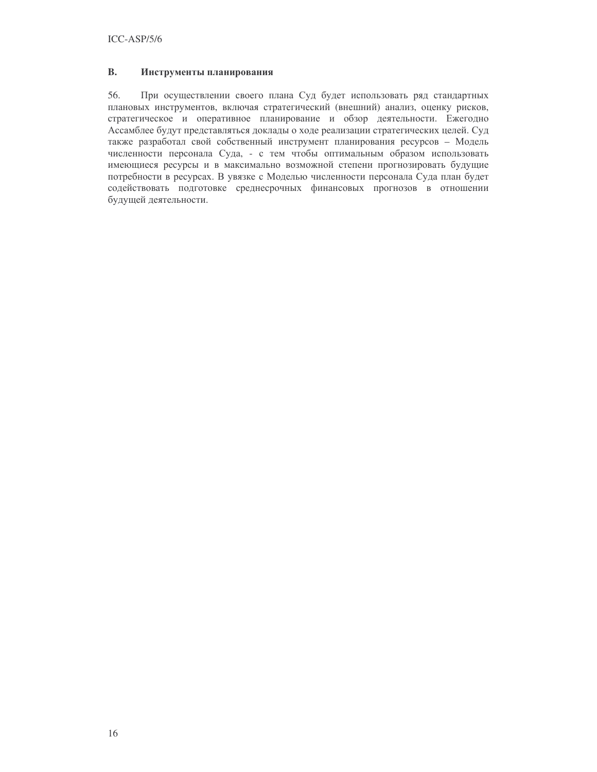#### **B.** Инструменты планирования

56. При осуществлении своего плана Суд будет использовать ряд стандартных плановых инструментов, включая стратегический (внешний) анализ, оценку рисков, стратегическое и оперативное планирование и обзор деятельности. Ежегодно Ассамблее будут представляться доклады о ходе реализации стратегических целей. Суд также разработал свой собственный инструмент планирования ресурсов - Модель численности персонала Суда, - с тем чтобы оптимальным образом использовать имеющиеся ресурсы и в максимально возможной степени прогнозировать будущие потребности в ресурсах. В увязке с Моделью численности персонала Суда план будет содействовать подготовке среднесрочных финансовых прогнозов в отношении будущей деятельности.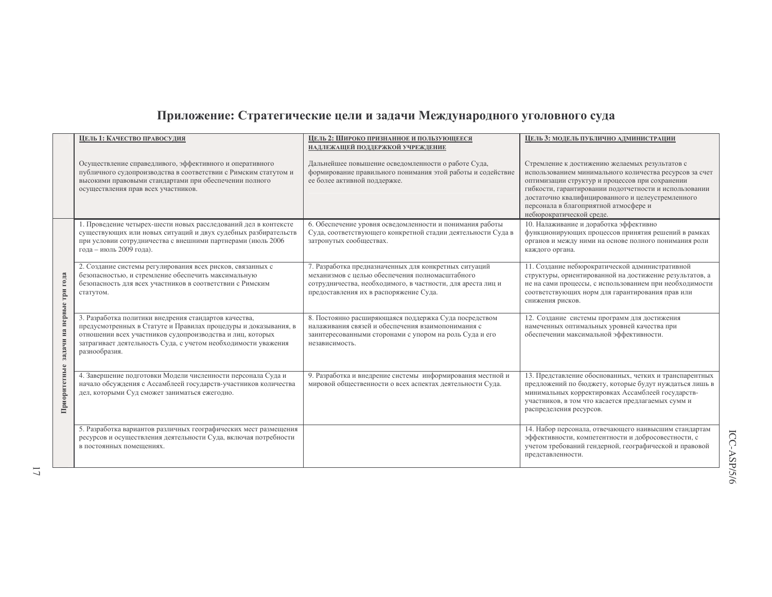# Приложение: Стратегические цели и задачи Международного уголовного суда

|                           | ЦЕЛЬ 1: КАЧЕСТВО ПРАВОСУДИЯ                                                                                                                                                                                                                                              | ЦЕЛЬ 2: ШИРОКО ПРИЗНАННОЕ И ПОЛЬЗУЮЩЕЕСЯ<br>НАДЛЕЖАЩЕЙ ПОДДЕРЖКОЙ УЧРЕЖДЕНИЕ                                                                                                                                      | ЦЕЛЬ 3: МОДЕЛЬ ПУБЛИЧНО АДМИНИСТРАЦИИ                                                                                                                                                                                                                                                                                                            |
|---------------------------|--------------------------------------------------------------------------------------------------------------------------------------------------------------------------------------------------------------------------------------------------------------------------|-------------------------------------------------------------------------------------------------------------------------------------------------------------------------------------------------------------------|--------------------------------------------------------------------------------------------------------------------------------------------------------------------------------------------------------------------------------------------------------------------------------------------------------------------------------------------------|
|                           | Осуществление справедливого, эффективного и оперативного<br>публичного судопроизводства в соответствии с Римским статутом и<br>высокими правовыми стандартами при обеспечении полного<br>осуществления прав всех участников.                                             | Дальнейшее повышение осведомленности о работе Суда,<br>формирование правильного понимания этой работы и содействие<br>ее более активной поддержке.                                                                | Стремление к достижению желаемых результатов с<br>использованием минимального количества ресурсов за счет<br>оптимизации структур и процессов при сохранении<br>гибкости, гарантировании подотчетности и использовании<br>достаточно квалифицированного и целеустремленного<br>персонала в благоприятной атмосфере и<br>небюрократической среде. |
| задачи на первые три года | 1. Проведение четырех-шести новых расследований дел в контексте<br>существующих или новых ситуаций и двух судебных разбирательств<br>при условии сотрудничества с внешними партнерами (июль 2006<br>года - июль 2009 года).                                              | 6. Обеспечение уровня осведомленности и понимания работы<br>Суда, соответствующего конкретной стадии деятельности Суда в<br>затронутых сообществах.                                                               | 10. Налаживание и доработка эффективно<br>функционирующих процессов принятия решений в рамках<br>органов и между ними на основе полного понимания роли<br>каждого органа.                                                                                                                                                                        |
|                           | 2. Создание системы регулирования всех рисков, связанных с<br>безопасностью, и стремление обеспечить максимальную<br>безопасность для всех участников в соответствии с Римским<br>статутом.                                                                              | 7. Разработка предназначенных для конкретных ситуаций<br>механизмов с целью обеспечения полномасштабного<br>сотрудничества, необходимого, в частности, для ареста лиц и<br>предоставления их в распоряжение Суда. | 11. Создание небюрократической административной<br>структуры, ориентированной на достижение результатов, а<br>не на сами процессы, с использованием при необходимости<br>соответствующих норм для гарантирования прав или<br>снижения рисков.                                                                                                    |
|                           | 3. Разработка политики внедрения стандартов качества,<br>предусмотренных в Статуте и Правилах процедуры и доказывания, в<br>отношении всех участников судопроизводства и лиц, которых<br>затрагивает деятельность Суда, с учетом необходимости уважения<br>разнообразия. | 8. Постоянно расширяющаяся поддержка Суда посредством<br>налаживания связей и обеспечения взаимопонимания с<br>заинтересованными сторонами с упором на роль Суда и его<br>независимость.                          | 12. Создание системы программ для достижения<br>намеченных оптимальных уровней качества при<br>обеспечении максимальной эффективности.                                                                                                                                                                                                           |
| Приоритетные              | 4. Завершение подготовки Модели численности персонала Суда и<br>начало обсуждения с Ассамблеей государств-участников количества<br>дел, которыми Суд сможет заниматься ежегодно.                                                                                         | 9. Разработка и внедрение системы информирования местной и<br>мировой общественности о всех аспектах деятельности Суда.                                                                                           | 13. Представление обоснованных, четких и транспарентных<br>предложений по бюджету, которые будут нуждаться лишь в<br>минимальных корректировках Ассамблеей государств-<br>участников, в том что касается предлагаемых сумм и<br>распределения ресурсов.                                                                                          |
|                           | 5. Разработка вариантов различных географических мест размещения<br>ресурсов и осуществления деятельности Суда, включая потребности<br>в постоянных помещениях.                                                                                                          |                                                                                                                                                                                                                   | 14. Набор персонала, отвечающего наивысшим стандартам<br>эффективности, компетентности и добросовестности, с<br>учетом требований гендерной, географической и правовой<br>представленности.                                                                                                                                                      |